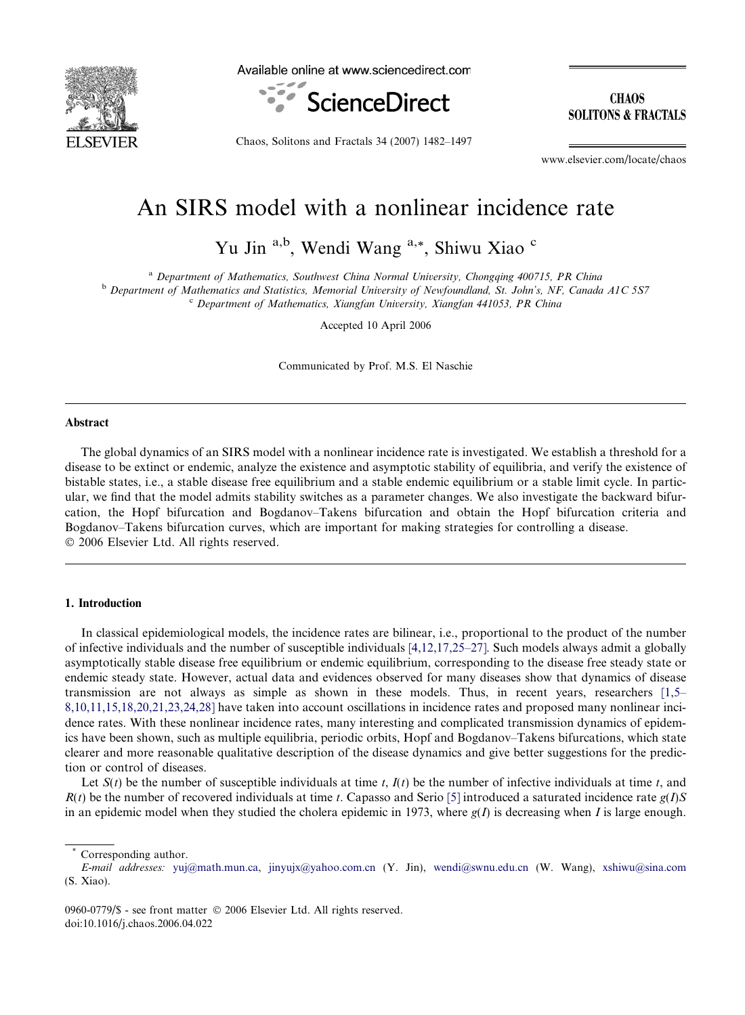

Available online at www.sciencedirect.com



**CHAOS SOLITONS & FRACTALS** 

Chaos, Solitons and Fractals 34 (2007) 1482–1497

www.elsevier.com/locate/chaos

# An SIRS model with a nonlinear incidence rate

Yu Jin <sup>a,b</sup>, Wendi Wang <sup>a,\*</sup>, Shiwu Xiao <sup>c</sup>

<sup>a</sup> Department of Mathematics, Southwest China Normal University, Chongqing 400715, PR China

<sup>b</sup> Department of Mathematics and Statistics, Memorial University of Newfoundland, St. John's, NF, Canada A1C 5S7 <sup>c</sup> Department of Mathematics, Xiangfan University, Xiangfan 441053, PR China

Accepted 10 April 2006

Communicated by Prof. M.S. El Naschie

## Abstract

The global dynamics of an SIRS model with a nonlinear incidence rate is investigated. We establish a threshold for a disease to be extinct or endemic, analyze the existence and asymptotic stability of equilibria, and verify the existence of bistable states, i.e., a stable disease free equilibrium and a stable endemic equilibrium or a stable limit cycle. In particular, we find that the model admits stability switches as a parameter changes. We also investigate the backward bifurcation, the Hopf bifurcation and Bogdanov–Takens bifurcation and obtain the Hopf bifurcation criteria and Bogdanov–Takens bifurcation curves, which are important for making strategies for controlling a disease. © 2006 Elsevier Ltd. All rights reserved.

# 1. Introduction

In classical epidemiological models, the incidence rates are bilinear, i.e., proportional to the product of the number of infective individuals and the number of susceptible individuals [\[4,12,17,25–27\].](#page-14-0) Such models always admit a globally asymptotically stable disease free equilibrium or endemic equilibrium, corresponding to the disease free steady state or endemic steady state. However, actual data and evidences observed for many diseases show that dynamics of disease transmission are not always as simple as shown in these models. Thus, in recent years, researchers [\[1,5–](#page-14-0) [8,10,11,15,18,20,21,23,24,28\]](#page-14-0) have taken into account oscillations in incidence rates and proposed many nonlinear incidence rates. With these nonlinear incidence rates, many interesting and complicated transmission dynamics of epidemics have been shown, such as multiple equilibria, periodic orbits, Hopf and Bogdanov–Takens bifurcations, which state clearer and more reasonable qualitative description of the disease dynamics and give better suggestions for the prediction or control of diseases.

Let  $S(t)$  be the number of susceptible individuals at time t,  $I(t)$  be the number of infective individuals at time t, and  $R(t)$  be the number of recovered individuals at time t. Capasso and Serio [\[5\]](#page-14-0) introduced a saturated incidence rate  $g(I)S$ in an epidemic model when they studied the cholera epidemic in 1973, where  $g(I)$  is decreasing when I is large enough.

Corresponding author.

E-mail addresses: [yuj@math.mun.ca,](mailto:yuj@math.mun.ca) [jinyujx@yahoo.com.cn](mailto:jinyujx@yahoo.com.cn ) (Y. Jin), [wendi@swnu.edu.cn](mailto:wendi@swnu.edu.cn ) (W. Wang), [xshiwu@sina.com](mailto:xshiwu@sina.com             ) (S. Xiao).

<sup>0960-0779/\$ -</sup> see front matter © 2006 Elsevier Ltd. All rights reserved. doi:10.1016/j.chaos.2006.04.022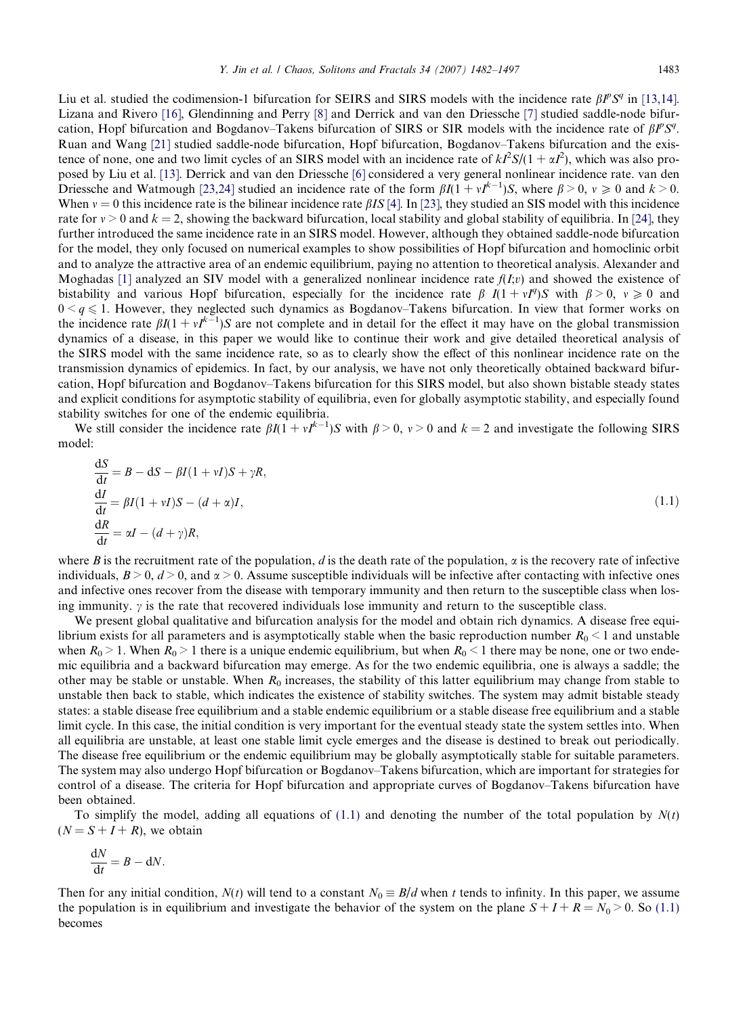<span id="page-1-0"></span>Liu et al. studied the codimension-1 bifurcation for SEIRS and SIRS models with the incidence rate  $\beta I^p S^q$  in [\[13,14\]](#page-15-0). Lizana and Rivero [\[16\]](#page-15-0), Glendinning and Perry [\[8\]](#page-14-0) and Derrick and van den Driessche [\[7\]](#page-14-0) studied saddle-node bifurcation, Hopf bifurcation and Bogdanov–Takens bifurcation of SIRS or SIR models with the incidence rate of  $\beta P S^q$ . Ruan and Wang [\[21\]](#page-15-0) studied saddle-node bifurcation, Hopf bifurcation, Bogdanov–Takens bifurcation and the existence of none, one and two limit cycles of an SIRS model with an incidence rate of  $kI^2S/(1 + \alpha I^2)$ , which was also proposed by Liu et al. [\[13\].](#page-15-0) Derrick and van den Driessche [\[6\]](#page-14-0) considered a very general nonlinear incidence rate. van den Driessche and Watmough [\[23,24\]](#page-15-0) studied an incidence rate of the form  $\beta I(1 + vI^{k-1})S$ , where  $\beta > 0$ ,  $v \ge 0$  and  $k > 0$ . When  $v = 0$  this incidence rate is the bilinear incidence rate  $\beta I S$  [\[4\]](#page-14-0). In [\[23\]](#page-15-0), they studied an SIS model with this incidence rate for  $v > 0$  and  $k = 2$ , showing the backward bifurcation, local stability and global stability of equilibria. In [\[24\],](#page-15-0) they further introduced the same incidence rate in an SIRS model. However, although they obtained saddle-node bifurcation for the model, they only focused on numerical examples to show possibilities of Hopf bifurcation and homoclinic orbit and to analyze the attractive area of an endemic equilibrium, paying no attention to theoretical analysis. Alexander and Moghadas [\[1\]](#page-14-0) analyzed an SIV model with a generalized nonlinear incidence rate  $f(I,v)$  and showed the existence of bistability and various Hopf bifurcation, especially for the incidence rate  $\beta$   $I(1 + vI^q)S$  with  $\beta > 0$ ,  $v \ge 0$  and  $0 \le q \le 1$ . However, they neglected such dynamics as Bogdanov–Takens bifurcation. In view that former works on the incidence rate  $\beta I(1 + vI^{k-1})S$  are not complete and in detail for the effect it may have on the global transmission dynamics of a disease, in this paper we would like to continue their work and give detailed theoretical analysis of the SIRS model with the same incidence rate, so as to clearly show the effect of this nonlinear incidence rate on the transmission dynamics of epidemics. In fact, by our analysis, we have not only theoretically obtained backward bifurcation, Hopf bifurcation and Bogdanov–Takens bifurcation for this SIRS model, but also shown bistable steady states and explicit conditions for asymptotic stability of equilibria, even for globally asymptotic stability, and especially found stability switches for one of the endemic equilibria.

We still consider the incidence rate  $\beta I(1 + vI^{k-1})S$  with  $\beta > 0$ ,  $v > 0$  and  $k = 2$  and investigate the following SIRS model:

$$
\frac{dS}{dt} = B - dS - \beta I (1 + vI)S + \gamma R,
$$
  
\n
$$
\frac{dI}{dt} = \beta I (1 + vI)S - (d + \alpha)I,
$$
  
\n
$$
\frac{dR}{dt} = \alpha I - (d + \gamma)R,
$$
\n(1.1)

where B is the recruitment rate of the population, d is the death rate of the population,  $\alpha$  is the recovery rate of infective individuals,  $B > 0$ ,  $d > 0$ , and  $\alpha > 0$ . Assume susceptible individuals will be infective after contacting with infective ones and infective ones recover from the disease with temporary immunity and then return to the susceptible class when losing immunity.  $\gamma$  is the rate that recovered individuals lose immunity and return to the susceptible class.

We present global qualitative and bifurcation analysis for the model and obtain rich dynamics. A disease free equilibrium exists for all parameters and is asymptotically stable when the basic reproduction number  $R_0 < 1$  and unstable when  $R_0 > 1$ . When  $R_0 > 1$  there is a unique endemic equilibrium, but when  $R_0 < 1$  there may be none, one or two endemic equilibria and a backward bifurcation may emerge. As for the two endemic equilibria, one is always a saddle; the other may be stable or unstable. When  $R_0$  increases, the stability of this latter equilibrium may change from stable to unstable then back to stable, which indicates the existence of stability switches. The system may admit bistable steady states: a stable disease free equilibrium and a stable endemic equilibrium or a stable disease free equilibrium and a stable limit cycle. In this case, the initial condition is very important for the eventual steady state the system settles into. When all equilibria are unstable, at least one stable limit cycle emerges and the disease is destined to break out periodically. The disease free equilibrium or the endemic equilibrium may be globally asymptotically stable for suitable parameters. The system may also undergo Hopf bifurcation or Bogdanov–Takens bifurcation, which are important for strategies for control of a disease. The criteria for Hopf bifurcation and appropriate curves of Bogdanov–Takens bifurcation have been obtained.

To simplify the model, adding all equations of (1.1) and denoting the number of the total population by  $N(t)$  $(N = S + I + R)$ , we obtain

$$
\frac{\mathrm{d}N}{\mathrm{d}t} = B - \mathrm{d}N.
$$

Then for any initial condition,  $N(t)$  will tend to a constant  $N_0 \equiv B/d$  when t tends to infinity. In this paper, we assume the population is in equilibrium and investigate the behavior of the system on the plane  $S + I + R = N_0 > 0$ . So (1.1) becomes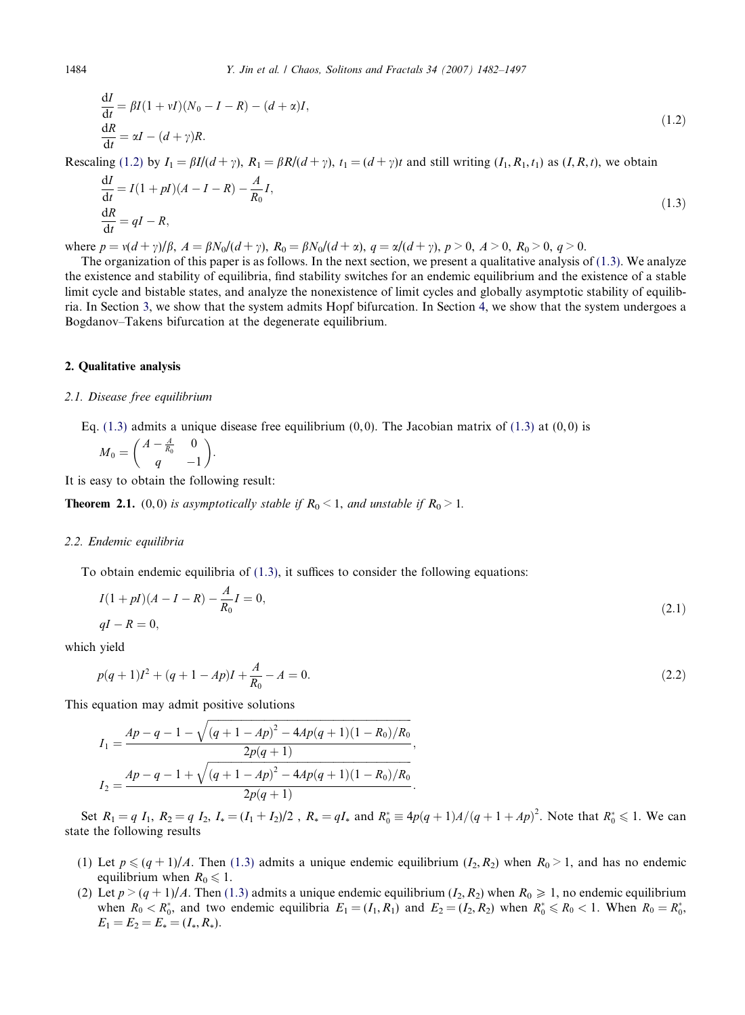$$
\frac{dI}{dt} = \beta I (1 + vI)(N_0 - I - R) - (d + \alpha)I,
$$
  
\n
$$
\frac{dR}{dt} = \alpha I - (d + \gamma)R.
$$
\n(1.2)

Rescaling (1.2) by  $I_1 = \beta I/(d + \gamma)$ ,  $R_1 = \beta R/(d + \gamma)$ ,  $t_1 = (d + \gamma)t$  and still writing  $(I_1, R_1, t_1)$  as  $(I, R, t)$ , we obtain

$$
\frac{dI}{dt} = I(1 + pI)(A - I - R) - \frac{A}{R_0}I,
$$
\n
$$
\frac{dR}{dt} = qI - R,
$$
\n(1.3)

where  $p = v(d + \gamma)/\beta$ ,  $A = \beta N_0/(d + \gamma)$ ,  $R_0 = \beta N_0/(d + \alpha)$ ,  $q = \alpha/(d + \gamma)$ ,  $p > 0$ ,  $A > 0$ ,  $R_0 > 0$ ,  $q > 0$ .

The organization of this paper is as follows. In the next section, we present a qualitative analysis of  $(1.3)$ . We analyze the existence and stability of equilibria, find stability switches for an endemic equilibrium and the existence of a stable limit cycle and bistable states, and analyze the nonexistence of limit cycles and globally asymptotic stability of equilibria. In Section [3,](#page-7-0) we show that the system admits Hopf bifurcation. In Section [4,](#page-10-0) we show that the system undergoes a Bogdanov–Takens bifurcation at the degenerate equilibrium.

### 2. Qualitative analysis

#### 2.1. Disease free equilibrium

Eq.  $(1.3)$  admits a unique disease free equilibrium  $(0,0)$ . The Jacobian matrix of  $(1.3)$  at  $(0,0)$  is

$$
M_0 = \begin{pmatrix} A - \frac{A}{R_0} & 0 \\ q & -1 \end{pmatrix}.
$$

It is easy to obtain the following result:

**Theorem 2.1.** (0,0) is asymptotically stable if  $R_0 < 1$ , and unstable if  $R_0 > 1$ .

#### 2.2. Endemic equilibria

To obtain endemic equilibria of (1.3), it suffices to consider the following equations:

$$
I(1 + pI)(A - I - R) - \frac{A}{R_0}I = 0,
$$
\n
$$
qI - R = 0,
$$
\n(2.1)

which yield

$$
p(q+1)I2 + (q+1-Ap)I + \frac{A}{R_0} - A = 0.
$$
\n(2.2)

This equation may admit positive solutions

$$
I_1 = \frac{Ap - q - 1 - \sqrt{(q + 1 - Ap)^2 - 4Ap(q + 1)(1 - R_0)/R_0}}{2p(q + 1)},
$$
  
\n
$$
I_2 = \frac{Ap - q - 1 + \sqrt{(q + 1 - Ap)^2 - 4Ap(q + 1)(1 - R_0)/R_0}}{2p(q + 1)}.
$$

Set  $R_1 = q I_1$ ,  $R_2 = q I_2$ ,  $I_* = (I_1 + I_2)/2$ ,  $R_* = qI_*$  and  $R_0^* \equiv 4p(q+1)A/(q+1+Ap)^2$ . Note that  $R_0^* \leq 1$ . We can state the following results

- (1) Let  $p \leq (q + 1)/A$ . Then (1.3) admits a unique endemic equilibrium  $(I_2, R_2)$  when  $R_0 > 1$ , and has no endemic equilibrium when  $R_0 \leq 1$ .
- (2) Let  $p > (q + 1)/A$ . Then (1.3) admits a unique endemic equilibrium  $(I_2, R_2)$  when  $R_0 \ge 1$ , no endemic equilibrium when  $R_0 < R_0^*$ , and two endemic equilibria  $E_1 = (I_1, R_1)$  and  $E_2 = (I_2, R_2)$  when  $R_0^* \le R_0 < 1$ . When  $R_0 = R_0^*$ ,  $E_1 = E_2 = E_* = (I_*, R_*).$

<span id="page-2-0"></span>

 $\overline{1}$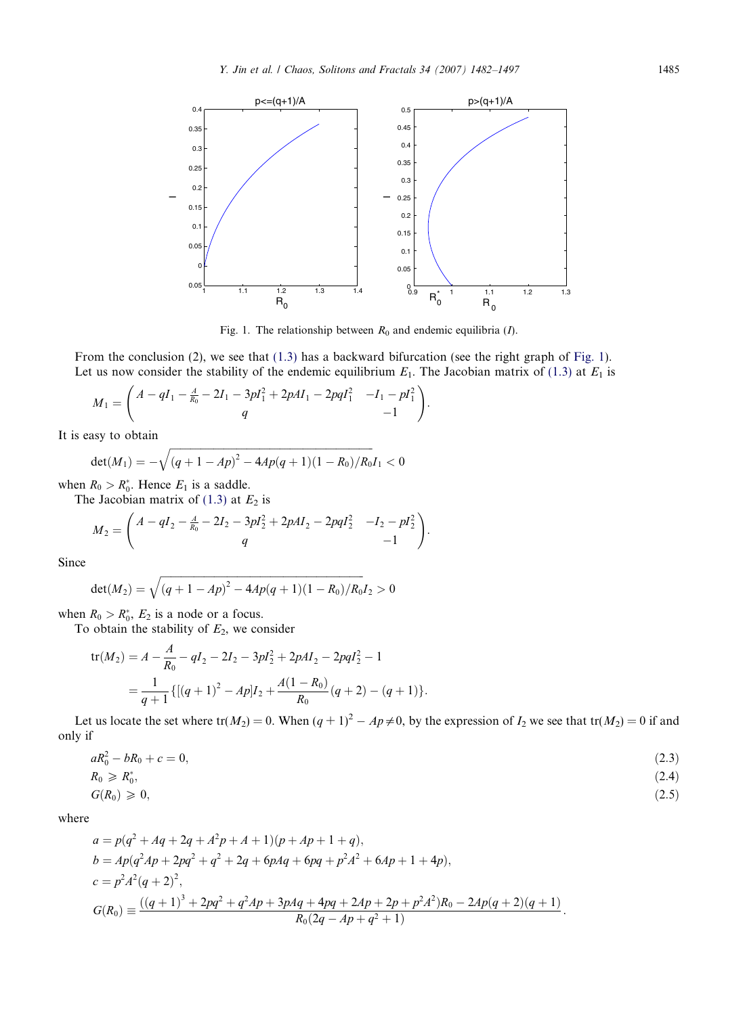<span id="page-3-0"></span>

Fig. 1. The relationship between  $R_0$  and endemic equilibria (I).

From the conclusion (2), we see that [\(1.3\)](#page-2-0) has a backward bifurcation (see the right graph of Fig. 1). Let us now consider the stability of the endemic equilibrium  $E_1$ . The Jacobian matrix of [\(1.3\)](#page-2-0) at  $E_1$  is

$$
M_1 = \begin{pmatrix} A - qI_1 - \frac{A}{R_0} - 2I_1 - 3pI_1^2 + 2pAI_1 - 2pqI_1^2 & -I_1 - pI_1^2 \\ q & -1 \end{pmatrix}.
$$

It is easy to obtain

$$
\det(M_1) = -\sqrt{(q+1-Ap)^2 - 4Ap(q+1)(1-R_0)/R_0}I_1 < 0
$$

when  $R_0 > R_0^*$ . Hence  $E_1$  is a saddle.

The Jacobian matrix of [\(1.3\)](#page-2-0) at  $E_2$  is

$$
M_2 = \begin{pmatrix} A - qI_2 - \frac{A}{R_0} - 2I_2 - 3pI_2^2 + 2pAI_2 - 2pqI_2^2 & -I_2 - pI_2^2 \ q & -1 \end{pmatrix}.
$$

Since

$$
\det(M_2) = \sqrt{(q+1-Ap)^2 - 4Ap(q+1)(1-R_0)/R_0}I_2 > 0
$$

when  $R_0 > R_0^*$ ,  $E_2$  is a node or a focus.

To obtain the stability of  $E_2$ , we consider

$$
\begin{aligned} \text{tr}(M_2) &= A - \frac{A}{R_0} - qI_2 - 2I_2 - 3pl_2^2 + 2pAI_2 - 2pqI_2^2 - 1 \\ &= \frac{1}{q+1} \{ [(q+1)^2 - Ap]I_2 + \frac{A(1-R_0)}{R_0} (q+2) - (q+1) \}. \end{aligned}
$$

Let us locate the set where  $tr(M_2) = 0$ . When  $(q + 1)^2 - Ap \neq 0$ , by the expression of  $I_2$  we see that  $tr(M_2) = 0$  if and only if

$$
aR_0^2 - bR_0 + c = 0,\t\t(2.3)
$$

$$
R_0 \geqslant R_0^*,\tag{2.4}
$$

$$
G(R_0) \geq 0,\tag{2.5}
$$

where

$$
a = p(q^2 + Aq + 2q + A^2p + A + 1)(p + Ap + 1 + q),
$$
  
\n
$$
b = Ap(q^2Ap + 2pq^2 + q^2 + 2q + 6pAq + 6pq + p^2A^2 + 6Ap + 1 + 4p),
$$
  
\n
$$
c = p^2A^2(q + 2)^2,
$$
  
\n
$$
G(R_0) = \frac{((q + 1)^3 + 2pq^2 + q^2Ap + 3pAq + 4pq + 2Ap + 2p + p^2A^2)R_0 - 2Ap(q + 2)(q + 1)}{R_0(2q - Ap + q^2 + 1)}.
$$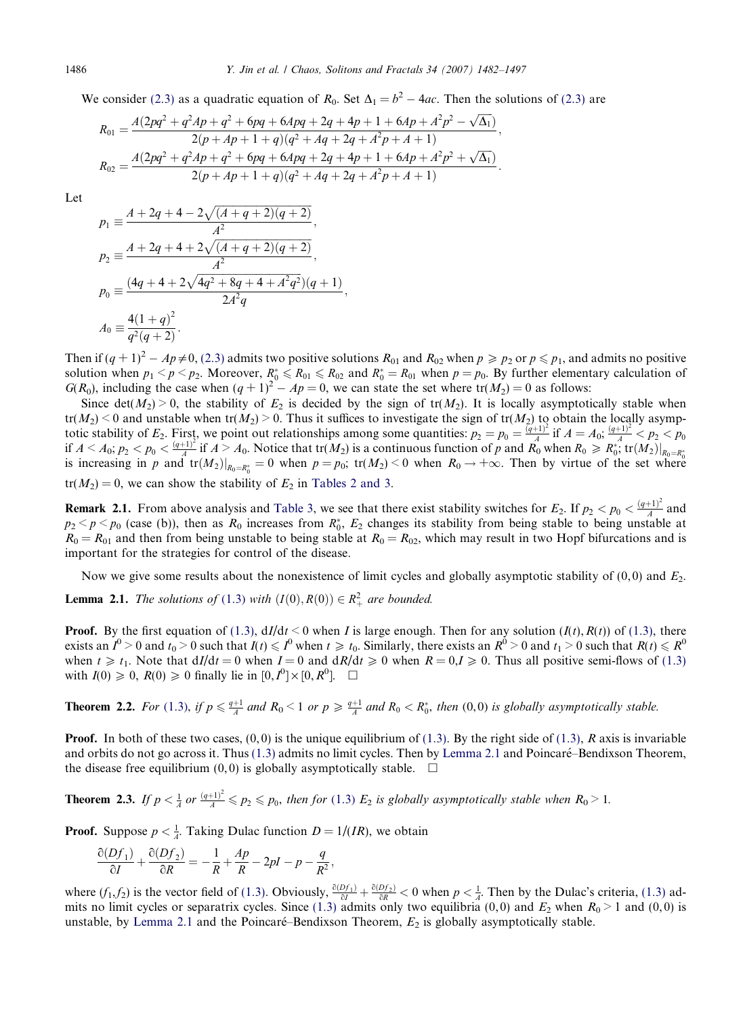We consider [\(2.3\)](#page-3-0) as a quadratic equation of  $R_0$ . Set  $\Delta_1 = b^2 - 4ac$ . Then the solutions of (2.3) are

$$
R_{01} = \frac{A(2pq^2 + q^2Ap + q^2 + 6pq + 6Apq + 2q + 4p + 1 + 6Ap + A^2p^2 - \sqrt{\Delta_1})}{2(p + Ap + 1 + q)(q^2 + Aq + 2q + A^2p + A + 1)},
$$
  
\n
$$
R_{02} = \frac{A(2pq^2 + q^2Ap + q^2 + 6pq + 6Apq + 2q + 4p + 1 + 6Ap + A^2p^2 + \sqrt{\Delta_1})}{2(p + Ap + 1 + q)(q^2 + Aq + 2q + A^2p + A + 1)}.
$$

Let

$$
p_1 \equiv \frac{A + 2q + 4 - 2\sqrt{(A + q + 2)(q + 2)}}{A^2},
$$
  
\n
$$
p_2 \equiv \frac{A + 2q + 4 + 2\sqrt{(A + q + 2)(q + 2)}}{A^2},
$$
  
\n
$$
p_0 \equiv \frac{(4q + 4 + 2\sqrt{4q^2 + 8q + 4 + A^2q^2})(q + 1)}{2A^2q},
$$
  
\n
$$
A_0 \equiv \frac{4(1 + q)^2}{q^2(q + 2)}.
$$

Then if  $(q + 1)^2 - Ap \neq 0$ , [\(2.3\)](#page-3-0) admits two positive solutions  $R_{01}$  and  $R_{02}$  when  $p \ge p_2$  or  $p \le p_1$ , and admits no positive solution when  $p_1 < p < p_2$ . Moreover,  $R_0^* \le R_{01} \le R_{02}$  and  $R_0^* = R_{01}$  when  $p = p_0$ . By further elementary calculation of  $G(R_0)$ , including the case when  $(q + 1)^2 - Ap = 0$ , we can state the set where  $tr(M_2) = 0$  as follows:

Since det( $M_2$ ) > 0, the stability of  $E_2$  is decided by the sign of tr( $M_2$ ). It is locally asymptotically stable when  $tr(M_2)$  < 0 and unstable when  $tr(M_2)$  > 0. Thus it suffices to investigate the sign of  $tr(M_2)$  to obtain the locally asymptotic stability of  $E_2$ . First, we point out relationships among some quantities:  $p_2 = p_0 = \frac{\bar{q}(q+1)^2}{4}$  if  $A = A_0$ ;  $\frac{(q+1)^2}{4} < p_2 < p_0$ if  $A \le A_0$ ;  $p_2 \le p_0 \le \frac{(q+1)^2}{A}$  if  $A \ge A_0$ . Notice that tr $(M_2)$  is a continuous function of p and  $R_0$  when  $R_0 \ge R_0^*$ , tr $(M_2)|_{R_0=R_0^*}$ is increasing in p and  $tr(M_2)|_{R_0=R_0^*}=0$  when  $p=p_0$ ;  $tr(M_2) < 0$  when  $R_0 \to +\infty$ . Then by virtue of the set where  $tr(M_2) = 0$ , we can show the stability of  $E_2$  in [Tables 2 and 3.](#page-8-0)

**Remark 2.1.** From above analysis and [Table 3,](#page-9-0) we see that there exist stability switches for  $E_2$ . If  $p_2 < p_0 < \frac{(q+1)^2}{A}$  and  $p_2 < p < p_0$  (case (b)), then as  $R_0$  increases from  $R_0^*$ ,  $E_2$  changes its stability from being stable to being unstable at  $R_0 = R_{01}$  and then from being unstable to being stable at  $R_0 = R_{02}$ , which may result in two Hopf bifurcations and is important for the strategies for control of the disease.

Now we give some results about the nonexistence of limit cycles and globally asymptotic stability of  $(0,0)$  and  $E_2$ .

**Lemma 2.1.** The solutions of ([1.3](#page-2-0)) with  $(I(0), R(0)) \in R_+^2$  are bounded.

**Proof.** By the first equation of [\(1.3\),](#page-2-0)  $dI/dt < 0$  when I is large enough. Then for any solution  $(I(t), R(t))$  of [\(1.3\)](#page-2-0), there exists an  $I^0 > 0$  and  $t_0 > 0$  such that  $I(t) \leq I^0$  when  $t \geq t_0$ . Similarly, there exists an  $R^0 > 0$  and  $t_1 > 0$  such that  $R(t) \leq R^0$ when  $t \geq t_1$ . Note that  $dI/dt = 0$  when  $I = 0$  and  $dR/dt \geq 0$  when  $R = 0, I \geq 0$ . Thus all positive semi-flows of [\(1.3\)](#page-2-0) with  $I(0) \geq 0$ ,  $R(0) \geq 0$  finally lie in  $[0, I^0] \times [0, R^0]$ .  $\Box$ 

**Theorem 2.2.** For ([1.3](#page-2-0)), if  $p \leq \frac{q+1}{4}$  and  $R_0 < 1$  or  $p \geq \frac{q+1}{4}$  and  $R_0 < R_0^*$ , then (0,0) is globally asymptotically stable.

**Proof.** In both of these two cases,  $(0, 0)$  is the unique equilibrium of  $(1.3)$ . By the right side of  $(1.3)$ , R axis is invariable and orbits do not go across it. Thus  $(1.3)$  admits no limit cycles. Then by Lemma 2.1 and Poincaré–Bendixson Theorem, the disease free equilibrium  $(0, 0)$  is globally asymptotically stable.  $\Box$ 

**Theorem 2.3.** If  $p < \frac{1}{A}$  or  $\frac{(q+1)^2}{A} \leq p_2 \leq p_0$ , then for ([1.3](#page-2-0))  $E_2$  is globally asymptotically stable when  $R_0 > 1$ .

**Proof.** Suppose  $p < \frac{1}{A}$ . Taking Dulac function  $D = 1/(IR)$ , we obtain

$$
\frac{\partial(Df_1)}{\partial I} + \frac{\partial(Df_2)}{\partial R} = -\frac{1}{R} + \frac{Ap}{R} - 2pl - p - \frac{q}{R^2},
$$

where  $(f_1, f_2)$  is the vector field of [\(1.3\).](#page-2-0) Obviously,  $\frac{\partial (Df_1)}{\partial l} + \frac{\partial (Df_2)}{\partial R} < 0$  when  $p < \frac{1}{A}$ . Then by the Dulac's criteria, [\(1.3\)](#page-2-0) ad-mits no limit cycles or separatrix cycles. Since [\(1.3\)](#page-2-0) admits only two equilibria (0,0) and  $E_2$  when  $R_0 > 1$  and (0,0) is unstable, by Lemma 2.1 and the Poincaré–Bendixson Theorem,  $E_2$  is globally asymptotically stable.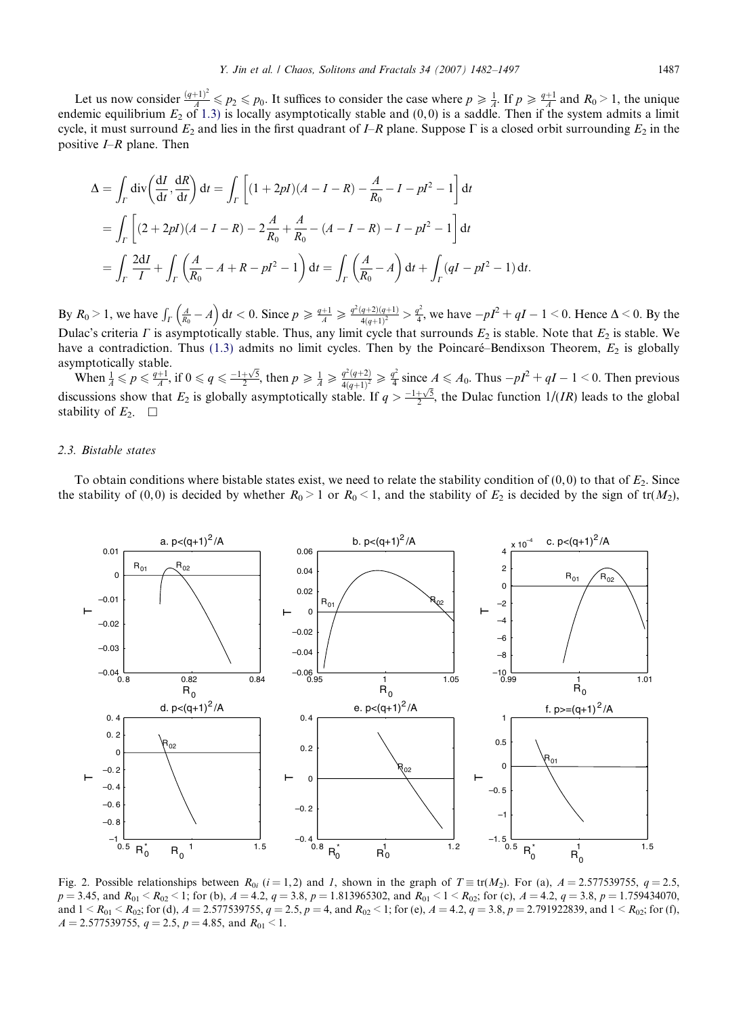<span id="page-5-0"></span>Let us now consider  $\frac{(q+1)^2}{A} \leq p_2 \leq p_0$ . It suffices to consider the case where  $p \geq \frac{1}{A}$ . If  $p \geq \frac{q+1}{A}$  and  $R_0 > 1$ , the unique endemic equilibrium  $E_2$  of [1.3\)](#page-2-0) is locally asymptotically stable and  $(0,0)$  is a saddle. Then if the system admits a limit cycle, it must surround  $E_2$  and lies in the first quadrant of I–R plane. Suppose  $\Gamma$  is a closed orbit surrounding  $E_2$  in the positive  $I-R$  plane. Then

$$
\Delta = \int_{\Gamma} \text{div} \left( \frac{dI}{dt}, \frac{dR}{dt} \right) dt = \int_{\Gamma} \left[ (1 + 2pI)(A - I - R) - \frac{A}{R_0} - I - pI^2 - 1 \right] dt
$$
  
= 
$$
\int_{\Gamma} \left[ (2 + 2pI)(A - I - R) - 2\frac{A}{R_0} + \frac{A}{R_0} - (A - I - R) - I - pI^2 - 1 \right] dt
$$
  
= 
$$
\int_{\Gamma} \frac{2dI}{I} + \int_{\Gamma} \left( \frac{A}{R_0} - A + R - pI^2 - 1 \right) dt = \int_{\Gamma} \left( \frac{A}{R_0} - A \right) dt + \int_{\Gamma} (qI - pI^2 - 1) dt.
$$

By  $R_0 > 1$ , we have  $\int_{\Gamma} \left( \frac{A}{R_0} - A \right) dt < 0$ . Since  $p \ge \frac{q+1}{A} \ge \frac{q^2(q+2)(q+1)}{4(q+1)^2} > \frac{q^2}{4}$ , we have  $-pI^2 + qI - 1 < 0$ . Hence  $\Delta < 0$ . By the Dulac's criteria  $\Gamma$  is asymptotically stable. Thus, any limit cycle that surrounds  $E_2$  is stable. Note that  $E_2$  is stable. We have a contradiction. Thus [\(1.3\)](#page-2-0) admits no limit cycles. Then by the Poincaré–Bendixson Theorem,  $E_2$  is globally asymptotically stable.

When  $\frac{1}{A} \leq p \leq \frac{q+1}{A}$ , if  $0 \leq q \leq \frac{-1+\sqrt{5}}{2}$ , then  $p \geq \frac{1}{A} \geq \frac{q^2(q+2)}{4(q+1)^2} \geq \frac{q^2}{4}$  since  $A \leq A_0$ . Thus  $-pI^2 + qI - 1 < 0$ . Then previous discussions show that  $E_2$  is globally asymptotically stable. If  $q > \frac{-1+\sqrt{5}}{2}$ , the Dulac function  $1/(IR)$  leads to the global stability of  $E_2$ .  $\Box$ 

#### 2.3. Bistable states

To obtain conditions where bistable states exist, we need to relate the stability condition of  $(0,0)$  to that of  $E_2$ . Since the stability of (0,0) is decided by whether  $R_0 > 1$  or  $R_0 < 1$ , and the stability of  $E_2$  is decided by the sign of tr( $M_2$ ),



Fig. 2. Possible relationships between  $R_{0i}$  (i=1,2) and 1, shown in the graph of  $T \equiv \text{tr}(M_2)$ . For (a),  $A = 2.577539755$ ,  $q = 2.5$ ,  $p = 3.45$ , and  $R_{01} < R_{02} < 1$ ; for (b),  $A = 4.2$ ,  $q = 3.8$ ,  $p = 1.813965302$ , and  $R_{01} < 1 < R_{02}$ ; for (c),  $A = 4.2$ ,  $q = 3.8$ ,  $p = 1.759434070$ , and  $1 < R_{01} < R_{02}$ ; for (d),  $A = 2.577539755$ ,  $q = 2.5$ ,  $p = 4$ , and  $R_{02} < 1$ ; for (e),  $A = 4.2$ ,  $q = 3.8$ ,  $p = 2.791922839$ , and  $1 < R_{02}$ ; for (f),  $A = 2.577539755$ ,  $q = 2.5$ ,  $p = 4.85$ , and  $R_{01} < 1$ .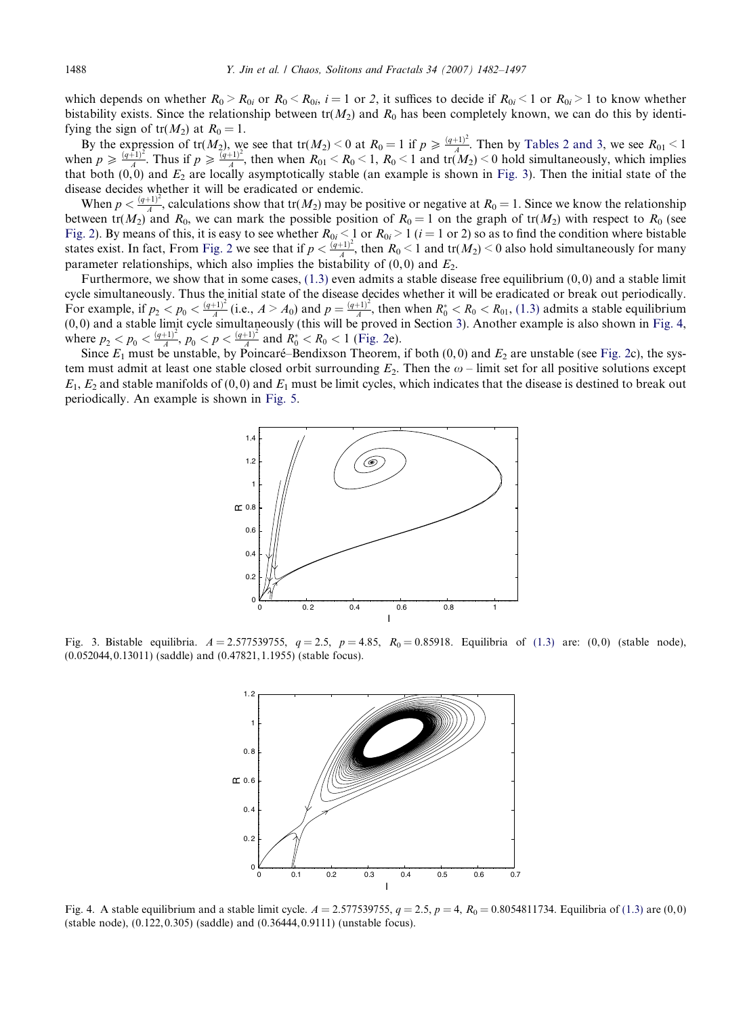which depends on whether  $R_0 > R_{0i}$  or  $R_0 < R_{0i}$ ,  $i = 1$  or 2, it suffices to decide if  $R_{0i} < 1$  or  $R_{0i} > 1$  to know whether bistability exists. Since the relationship between  $tr(M_2)$  and  $R_0$  has been completely known, we can do this by identifying the sign of  $tr(M_2)$  at  $R_0 = 1$ .

By the expression of  $tr(M_2)$ , we see that  $tr(M_2) < 0$  at  $R_0 = 1$  if  $p \geq \frac{(q+1)^2}{A}$ . Then by [Tables 2 and 3,](#page-8-0) we see  $R_{01} < 1$ when  $p \geq \frac{(q+1)^2}{4}$ . Thus if  $p \geq \frac{(q+1)^2}{4}$ , then when  $R_{01} < R_0 < 1$ ,  $R_0 < 1$  and tr( $M_2$ )  $< 0$  hold simultaneously, which implies that both  $(0, 0)$  and  $E_2$  are locally asymptotically stable (an example is shown in Fig. 3). Then the initial state of the disease decides whether it will be eradicated or endemic.

When  $p < \frac{(q+1)^2}{A}$ , calculations show that tr( $M_2$ ) may be positive or negative at  $R_0 = 1$ . Since we know the relationship between tr( $M_2$ ) and  $R_0$ , we can mark the possible position of  $R_0 = 1$  on the graph of tr( $M_2$ ) with respect to  $R_0$  (see [Fig. 2](#page-5-0)). By means of this, it is easy to see whether  $R_{0i} \leq 1$  or  $R_{0i} > 1$  ( $i = 1$  or 2) so as to find the condition where bistable states exist. In fact, From [Fig. 2](#page-5-0) we see that if  $p < \frac{(q+1)^2}{A}$ , then  $R_0 < 1$  and  $tr(M_2) < 0$  also hold simultaneously for many parameter relationships, which also implies the bistability of  $(0, 0)$  and  $E<sub>2</sub>$ .

Furthermore, we show that in some cases,  $(1.3)$  even admits a stable disease free equilibrium  $(0,0)$  and a stable limit cycle simultaneously. Thus the initial state of the disease decides whether it will be eradicated or break out periodically. For example, if  $p_2 < p_0 < \frac{(q+1)^2}{A}$  (i.e.,  $A > A_0$ ) and  $p = \frac{(q+1)^2}{A}$ , then when  $R_0^* < R_0 < R_{01}$ , [\(1.3\)](#page-2-0) admits a stable equilibrium (0, 0) and a stable limit cycle simultaneously (this will be proved in Section [3\)](#page-7-0). Another example is also shown in Fig. 4, where  $p_2 < p_0 < \frac{(q+1)^2}{A}$ ,  $p_0 < p < \frac{(q+1)^2}{A}$  and  $R_0^* < R_0 < 1$  ([Fig. 2e](#page-5-0)).

Since  $E_1$  must be unstable, by Poincaré–Bendixson Theorem, if both (0,0) and  $E_2$  are unstable (see [Fig. 2](#page-5-0)c), the system must admit at least one stable closed orbit surrounding  $E_2$ . Then the  $\omega$  – limit set for all positive solutions except  $E_1, E_2$  and stable manifolds of (0,0) and  $E_1$  must be limit cycles, which indicates that the disease is destined to break out periodically. An example is shown in [Fig. 5.](#page-7-0)



Fig. 3. Bistable equilibria.  $A = 2.577539755$ ,  $q = 2.5$ ,  $p = 4.85$ ,  $R_0 = 0.85918$ . Equilibria of [\(1.3\)](#page-2-0) are: (0,0) (stable node), (0.052044, 0.13011) (saddle) and (0.47821, 1.1955) (stable focus).



Fig. 4. A stable equilibrium and a stable limit cycle.  $A = 2.577539755$ ,  $q = 2.5$ ,  $p = 4$ ,  $R_0 = 0.8054811734$ . Equilibria of [\(1.3\)](#page-2-0) are (0,0) (stable node), (0.122, 0.305) (saddle) and (0.36444, 0.9111) (unstable focus).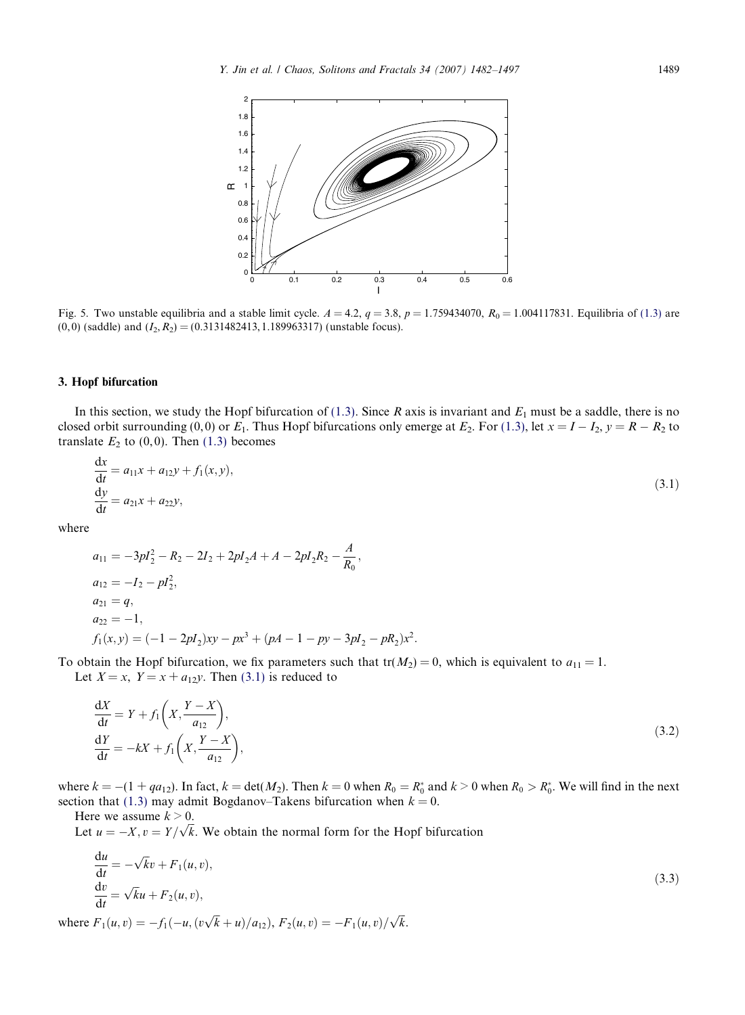<span id="page-7-0"></span>

Fig. 5. Two unstable equilibria and a stable limit cycle.  $A = 4.2$ ,  $q = 3.8$ ,  $p = 1.759434070$ ,  $R_0 = 1.004117831$ . Equilibria of [\(1.3\)](#page-2-0) are  $(0, 0)$  (saddle) and  $(I_2, R_2) = (0.3131482413, 1.189963317)$  (unstable focus).

#### 3. Hopf bifurcation

In this section, we study the Hopf bifurcation of [\(1.3\).](#page-2-0) Since R axis is invariant and  $E_1$  must be a saddle, there is no closed orbit surrounding  $(0,0)$  or  $E_1$ . Thus Hopf bifurcations only emerge at  $E_2$ . For  $(1.3)$ , let  $x = I - I_2$ ,  $y = R - R_2$  to translate  $E_2$  to (0,0). Then [\(1.3\)](#page-2-0) becomes

$$
\frac{dx}{dt} = a_{11}x + a_{12}y + f_1(x, y), \n\frac{dy}{dt} = a_{21}x + a_{22}y,
$$
\n(3.1)

where

$$
a_{11} = -3pl_2^2 - R_2 - 2I_2 + 2pl_2A + A - 2pl_2R_2 - \frac{A}{R_0},
$$
  
\n
$$
a_{12} = -I_2 - pl_2^2,
$$
  
\n
$$
a_{21} = q,
$$
  
\n
$$
a_{22} = -1,
$$
  
\n
$$
f_1(x, y) = (-1 - 2pl_2)xy - px^3 + (pA - 1 - py - 3pl_2 - pR_2)x^2.
$$

To obtain the Hopf bifurcation, we fix parameters such that  $tr(M_2) = 0$ , which is equivalent to  $a_{11} = 1$ . Let  $X = x$ ,  $Y = x + a_{12}y$ . Then (3.1) is reduced to

$$
\frac{dX}{dt} = Y + f_1\left(X, \frac{Y - X}{a_{12}}\right),
$$
  
\n
$$
\frac{dY}{dt} = -kX + f_1\left(X, \frac{Y - X}{a_{12}}\right),
$$
\n(3.2)

where  $k = -(1 + qa_{12})$ . In fact,  $k = \det(M_2)$ . Then  $k = 0$  when  $R_0 = R_0^*$  and  $k > 0$  when  $R_0 > R_0^*$ . We will find in the next section that [\(1.3\)](#page-2-0) may admit Bogdanov–Takens bifurcation when  $k = 0$ .

Here we assume  $k > 0$ .

Here we assume  $k > 0$ .<br>Let  $u = -X$ ,  $v = Y/\sqrt{k}$ . We obtain the normal form for the Hopf bifurcation

$$
\begin{aligned}\n\frac{\mathrm{d}u}{\mathrm{d}t} &= -\sqrt{k}v + F_1(u, v),\\
\frac{\mathrm{d}v}{\mathrm{d}t} &= \sqrt{k}u + F_2(u, v),\n\end{aligned} \tag{3.3}
$$

where  $F_1(u, v) = -f_1(-u, (v\sqrt{k} + u)/a_{12}), F_2(u, v) = -F_1(u, v)/\sqrt{k}$ .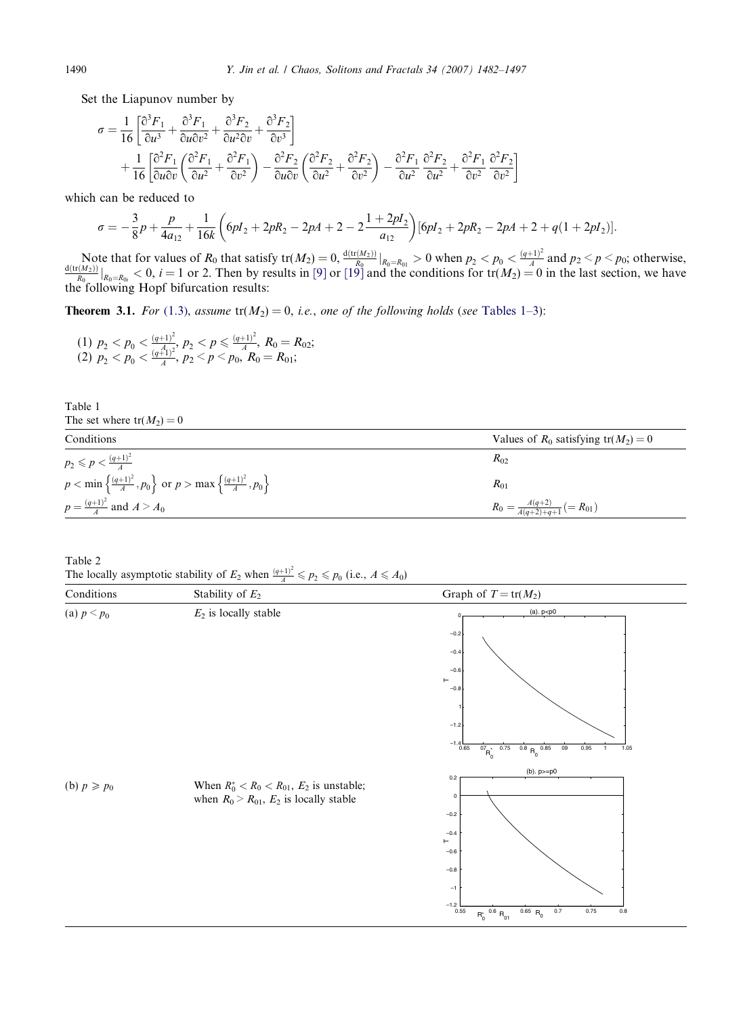<span id="page-8-0"></span>Set the Liapunov number by

$$
\begin{split} \sigma &= \frac{1}{16} \left[ \frac{\partial^3 F_1}{\partial u^3} + \frac{\partial^3 F_1}{\partial u \partial v^2} + \frac{\partial^3 F_2}{\partial u^2 \partial v} + \frac{\partial^3 F_2}{\partial v^3} \right] \\ &+ \frac{1}{16} \left[ \frac{\partial^2 F_1}{\partial u \partial v} \left( \frac{\partial^2 F_1}{\partial u^2} + \frac{\partial^2 F_1}{\partial v^2} \right) - \frac{\partial^2 F_2}{\partial u \partial v} \left( \frac{\partial^2 F_2}{\partial u^2} + \frac{\partial^2 F_2}{\partial v^2} \right) - \frac{\partial^2 F_1}{\partial u^2} \frac{\partial^2 F_2}{\partial u^2} + \frac{\partial^2 F_1}{\partial v^2} \frac{\partial^2 F_2}{\partial v^2} \right] \end{split}
$$

which can be reduced to

$$
\sigma = -\frac{3}{8}p + \frac{p}{4a_{12}} + \frac{1}{16k} \left( 6pI_2 + 2pR_2 - 2pA + 2 - 2\frac{1+2pl_2}{a_{12}} \right) [6pl_2 + 2pR_2 - 2pA + 2 + q(1+2pl_2)].
$$

Note that for values of  $R_0$  that satisfy  $tr(M_2) = 0$ ,  $\frac{d(tr(M_2))}{R_0}|_{R_0=R_{01}} > 0$  when  $p_2 < p_0 < \frac{(q+1)^2}{A}$  and  $p_2 < p < p_0$ ; otherwise,  $\frac{d(tr(M_2))}{R_0}|_{R_0=R_{0i}} < 0$ ,  $i = 1$  or 2. Then by results in [\[9\]](#page-14-0) or [\[19\]](#page-15-0) and the the following Hopf bifurcation results:

**Theorem 3.1.** For ([1.3](#page-2-0)), assume  $tr(M_2) = 0$ , i.e., one of the following holds (see Tables 1–3):

(1)  $p_2 < p_0 < \frac{(q+1)^2}{(A_1)^2}$ ,  $p_2 < p \leq \frac{(q+1)^2}{A}$ ,  $R_0 = R_{02}$ ; (2)  $p_2 < p_0 < \frac{(q_1^A1)^2}{A}, p_2 < p < p_0, R_0 = R_{01};$ 

| The set where $tr(M_2) = 0$                                                                              |                                                 |
|----------------------------------------------------------------------------------------------------------|-------------------------------------------------|
| Conditions                                                                                               | Values of $R_0$ satisfying $tr(M_2) = 0$        |
| $p_2 \leqslant p < \frac{(q+1)^2}{4}$                                                                    | $R_{02}$                                        |
| $p < \min \left\{ \frac{(q+1)^2}{A}, p_0 \right\}$ or $p > \max \left\{ \frac{(q+1)^2}{A}, p_0 \right\}$ | $R_{01}$                                        |
| $p = \frac{(q+1)^2}{4}$ and $A > A_0$                                                                    | $R_0 = \frac{A(q+2)}{A(q+2)+q+1}$ (= $R_{01}$ ) |

Table 2 The locally asymptotic stability of  $E_2$  when  $\frac{(q+1)^2}{A} \leq p_2 \leq p_0$  (i.e.,  $A \leq A_0$ )



Table 1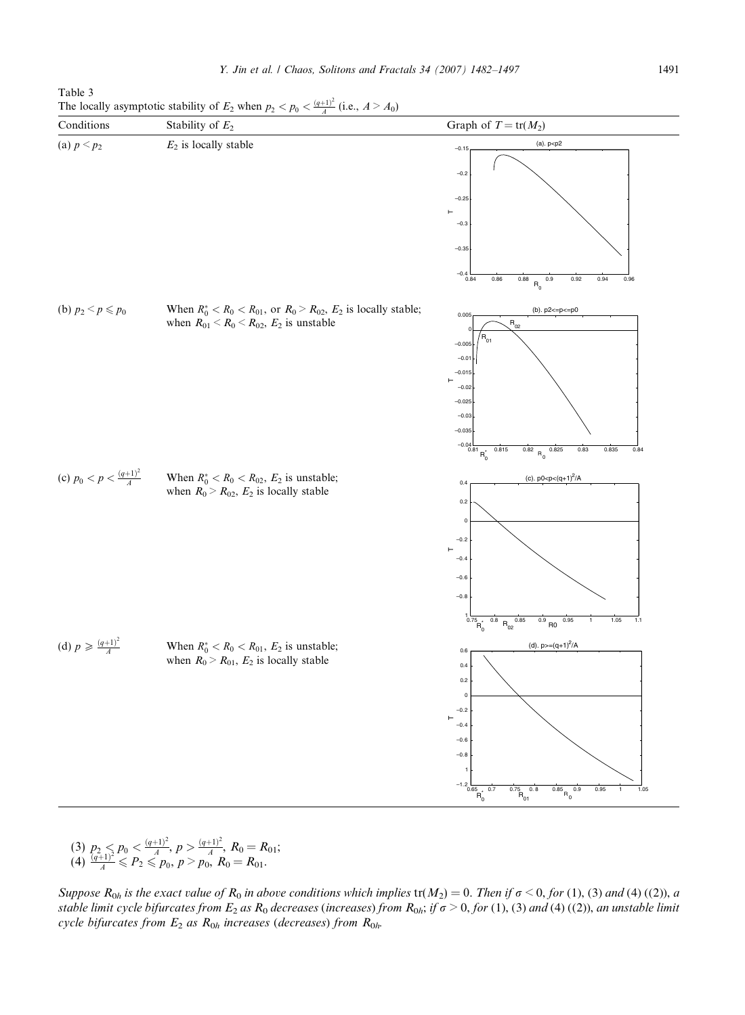<span id="page-9-0"></span>Table 3 The locally asymptotic stability of  $E_2$  when  $p_2 < p_0 < \frac{(q+1)^2}{A}$  (i.e.,  $A > A_0$ )



(3)  $p_2 \leq p_0 < \frac{(q+1)^2}{4}$ ,  $p > \frac{(q+1)^2}{4}$ ,  $R_0 = R_{01}$ ;  $(4) \frac{q+1}{4} \leq P_2 \leq P_0, p > p_0, R_0 = R_{01}.$ 

Suppose  $R_{0h}$  is the exact value of  $R_0$  in above conditions which implies  $tr(M_2) = 0$ . Then if  $\sigma \le 0$ , for (1), (3) and (4) ((2)), a stable limit cycle bifurcates from  $E_2$  as  $R_0$  decreases (increases) from  $R_{0h}$ ; if  $\sigma > 0$ , for (1), (3) and (4) ((2)), an unstable limit cycle bifurcates from  $E_2$  as  $R_{0h}$  increases (decreases) from  $R_{0h}$ .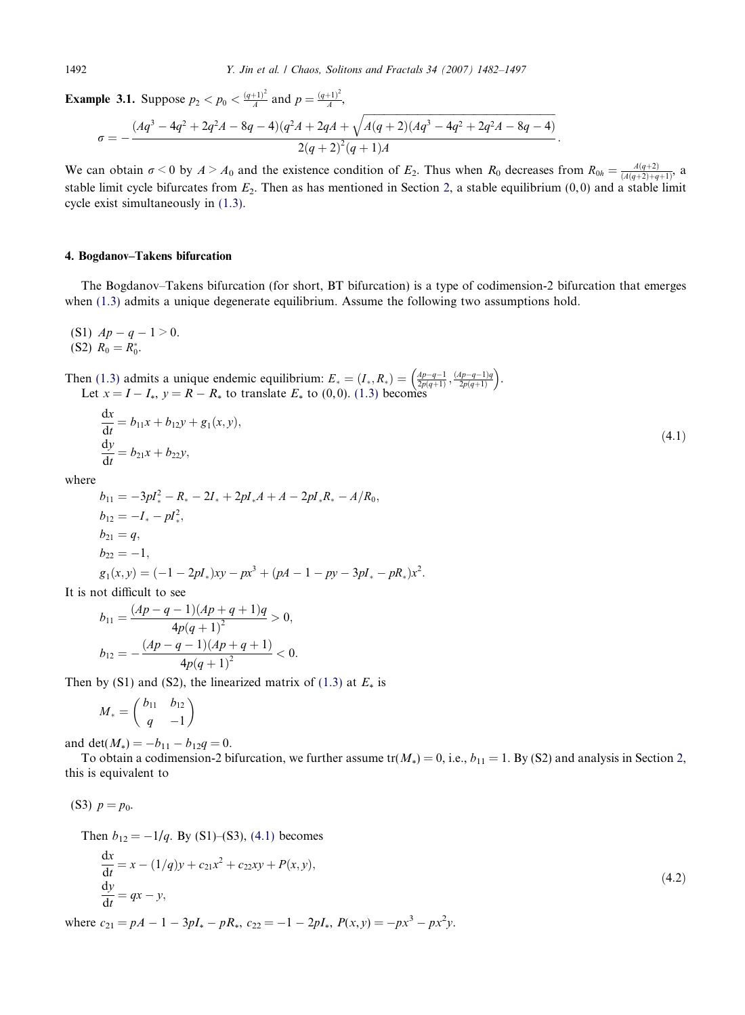**Example 3.1.** Suppose  $p_2 < p_0 < \frac{(q+1)^2}{A}$  and  $p = \frac{(q+1)^2}{A}$ ,

$$
\sigma = -\frac{(Aq^3 - 4q^2 + 2q^2A - 8q - 4)(q^2A + 2qA + \sqrt{A(q+2)(Aq^3 - 4q^2 + 2q^2A - 8q - 4)}}{2(q+2)^2(q+1)A}.
$$

We can obtain  $\sigma < 0$  by  $A > A_0$  and the existence condition of  $E_2$ . Thus when  $R_0$  decreases from  $R_{0h} = \frac{A(q+2)}{(A(q+2)+q+1)}$ , a stable limit cycle bifurcates from  $E_2$ . Then as has mentioned in Section [2,](#page-2-0) a stable equilibrium  $(0,0)$  and a stable limit cycle exist simultaneously in [\(1.3\)](#page-2-0).

#### 4. Bogdanov–Takens bifurcation

The Bogdanov–Takens bifurcation (for short, BT bifurcation) is a type of codimension-2 bifurcation that emerges when [\(1.3\)](#page-2-0) admits a unique degenerate equilibrium. Assume the following two assumptions hold.

(S1)  $Ap - q - 1 > 0$ . (S2)  $R_0 = R_0^*$ .

 $\overline{A}$ 

Then [\(1.3\)](#page-2-0) admits a unique endemic equilibrium:  $E_* = (I_*, R_*) = \left(\frac{Ap - q - 1}{2p(q+1)}, \frac{(Ap - q - 1)q}{2p(q+1)}\right)$ . Let  $x = I - I_*, y = R - R_*$  to translate  $E_*$  to (0,0). [\(1.3\)](#page-2-0) becomes

$$
\frac{dx}{dt} = b_{11}x + b_{12}y + g_1(x, y),
$$
  
\n
$$
\frac{dy}{dt} = b_{21}x + b_{22}y,
$$
\n(4.1)

where

$$
b_{11} = -3pl_*^2 - R_* - 2I_* + 2pl_*A + A - 2pl_*R_* - A/R_0,
$$
  
\n
$$
b_{12} = -I_* - pl_*^2,
$$
  
\n
$$
b_{21} = q,
$$
  
\n
$$
b_{22} = -1,
$$
  
\n
$$
g_1(x, y) = (-1 - 2pl_*)xy - px^3 + (pA - 1 - py - 3pl_* - pR_*)x^2.
$$

It is not difficult to see

$$
b_{11} = \frac{(Ap - q - 1)(Ap + q + 1)q}{4p(q + 1)^{2}} > 0,
$$
  

$$
b_{12} = -\frac{(Ap - q - 1)(Ap + q + 1)}{4p(q + 1)^{2}} < 0.
$$

Then by (S1) and (S2), the linearized matrix of [\(1.3\)](#page-2-0) at  $E_*$  is

$$
M_*=\left(\begin{matrix}b_{11}&b_{12}\\q&-1\end{matrix}\right)
$$

and det( $M_*$ ) =  $-b_{11} - b_{12}q = 0$ .

To obtain a codimension-[2](#page-2-0) bifurcation, we further assume tr( $M_*$ ) = 0, i.e.,  $b_{11}$  = 1. By (S2) and analysis in Section 2, this is equivalent to

(S3)  $p = p_0$ .

Then  $b_{12} = -1/q$ . By (S1)–(S3), (4.1) becomes

$$
\frac{dx}{dt} = x - (1/q)y + c_{21}x^{2} + c_{22}xy + P(x, y),
$$
  
\n
$$
\frac{dy}{dt} = qx - y,
$$
\n(4.2)

where  $c_{21} = pA - 1 - 3pI_* - pR_*, c_{22} = -1 - 2pI_*, P(x, y) = -px^3 - px^2y.$ 

<span id="page-10-0"></span>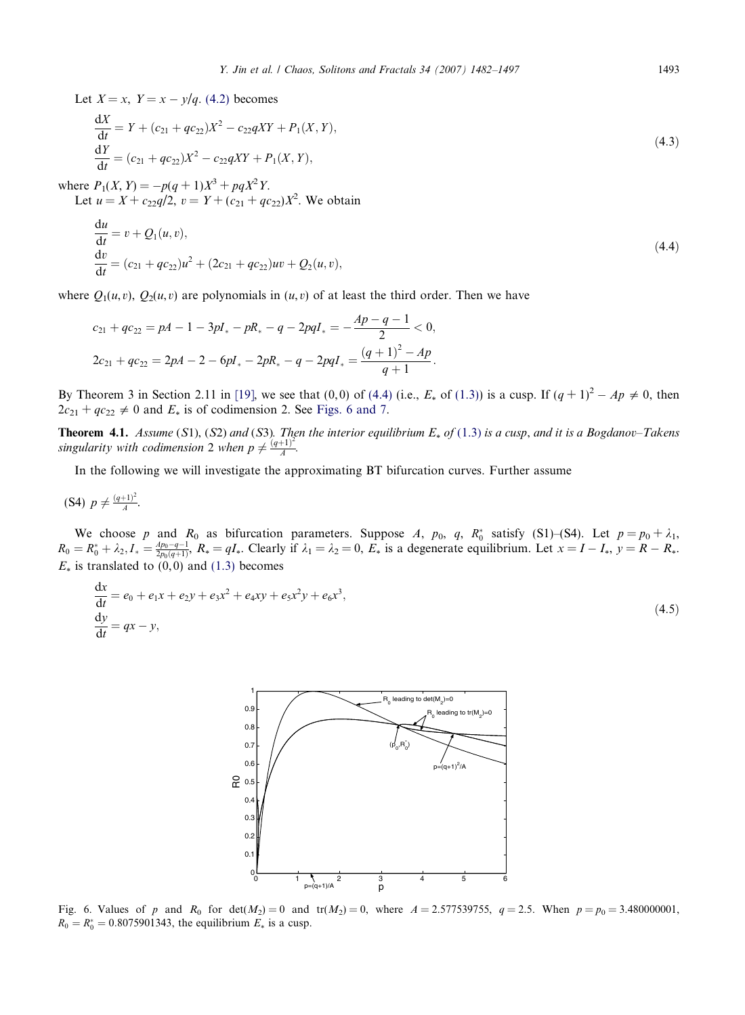<span id="page-11-0"></span>Let  $X = x$ ,  $Y = x - y/q$ . [\(4.2\)](#page-10-0) becomes

$$
\frac{dX}{dt} = Y + (c_{21} + qc_{22})X^2 - c_{22}qXY + P_1(X, Y),\n\frac{dY}{dt} = (c_{21} + qc_{22})X^2 - c_{22}qXY + P_1(X, Y),
$$
\n(4.3)

where  $P_1(X, Y) = -p(q+1)X^3 + pqX^2Y$ .

Let  $u = X + c_{22}q/2$ ,  $v = Y + (c_{21} + qc_{22})X^2$ . We obtain

$$
\begin{aligned}\n\frac{\mathrm{d}u}{\mathrm{d}t} &= v + Q_1(u, v), \\
\frac{\mathrm{d}v}{\mathrm{d}t} &= (c_{21} + qc_{22})u^2 + (2c_{21} + qc_{22})uv + Q_2(u, v),\n\end{aligned} \tag{4.4}
$$

where  $O_1(u, v)$ ,  $O_2(u, v)$  are polynomials in  $(u, v)$  of at least the third order. Then we have

$$
c_{21} + qc_{22} = pA - 1 - 3pI_{*} - pR_{*} - q - 2pqI_{*} = -\frac{Ap - q - 1}{2} < 0,
$$
  

$$
2c_{21} + qc_{22} = 2pA - 2 - 6pI_{*} - 2pR_{*} - q - 2pqI_{*} = \frac{(q + 1)^{2} - Ap}{q + 1}.
$$

By Theorem 3 in Section 2.11 in [\[19\],](#page-15-0) we see that (0,0) of (4.4) (i.e.,  $E_*$  of [\(1.3\)](#page-2-0)) is a cusp. If  $(q + 1)^2 - Ap \neq 0$ , then  $2c_{21} + qc_{22} \neq 0$  and  $E_*$  is of codimension 2. See Figs. 6 and 7.

**Theorem 4.1.** Assume (S1), (S2) and (S3). Then the interior equilibrium  $E_*$  of ([1.3](#page-2-0)) is a cusp, and it is a Bogdanov–Takens singularity with codimension 2 when  $p \neq \frac{(q+1)^2}{A}$ .

In the following we will investigate the approximating BT bifurcation curves. Further assume

(S4)  $p \neq \frac{(q+1)^2}{A}$ .

We choose p and  $R_0$  as bifurcation parameters. Suppose A,  $p_0$ , q,  $R_0^*$  satisfy (S1)–(S4). Let  $p = p_0 + \lambda_1$ ,  $R_0 = R_0^* + \lambda_2, I_* = \frac{4p_0 - q - 1}{2p_0(q + 1)}, R_* = qI_*$ . Clearly if  $\lambda_1 = \lambda_2 = 0, E_*$  is a degenerate equilibrium. Let  $x = I - I_*, y = R - R_*$ .  $E_*$  is translated to  $(0,0)$  and [\(1.3\)](#page-2-0) becomes

$$
\frac{dx}{dt} = e_0 + e_1 x + e_2 y + e_3 x^2 + e_4 x y + e_5 x^2 y + e_6 x^3,
$$
  
\n
$$
\frac{dy}{dt} = qx - y,
$$
\n(4.5)



Fig. 6. Values of p and  $R_0$  for det( $M_2$ ) = 0 and tr( $M_2$ ) = 0, where  $A = 2.577539755$ ,  $q = 2.5$ . When  $p = p_0 = 3.480000001$ ,  $R_0 = R_0^* = 0.8075901343$ , the equilibrium  $E_*$  is a cusp.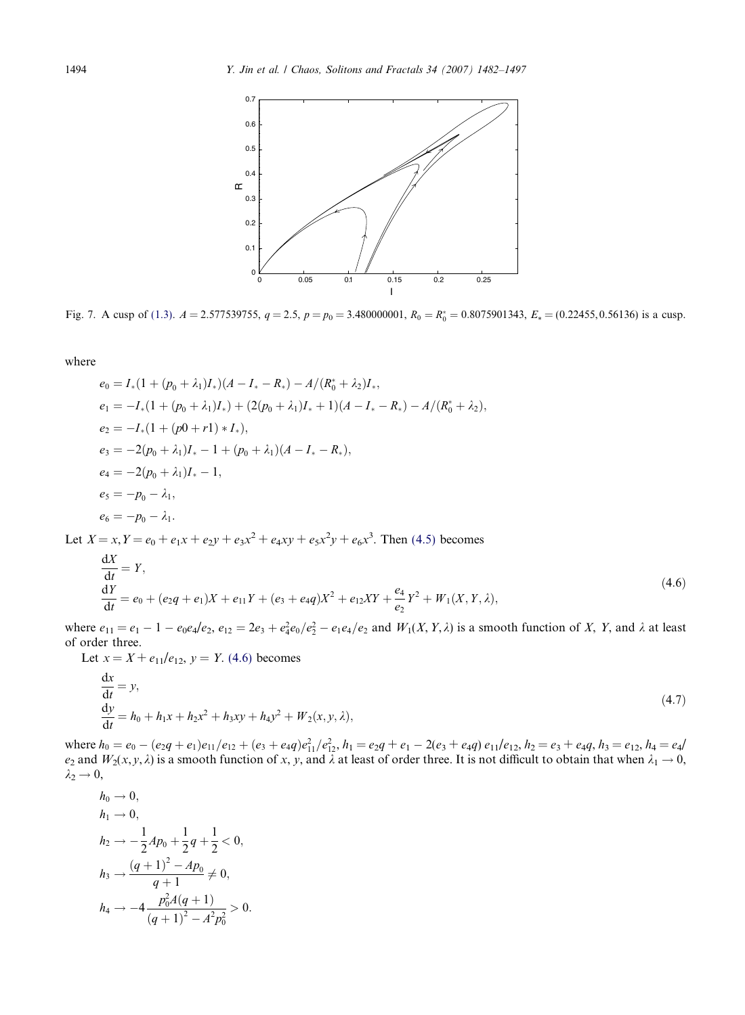<span id="page-12-0"></span>

Fig. 7. A cusp of [\(1.3\)](#page-2-0).  $A = 2.577539755$ ,  $q = 2.5$ ,  $p = p_0 = 3.480000001$ ,  $R_0 = R_0^* = 0.8075901343$ ,  $E_* = (0.22455, 0.56136)$  is a cusp.

where

$$
e_0 = I_*(1 + (p_0 + \lambda_1)I_*)(A - I_* - R_*) - A/(R_0^* + \lambda_2)I_*,
$$
  
\n
$$
e_1 = -I_*(1 + (p_0 + \lambda_1)I_*) + (2(p_0 + \lambda_1)I_* + 1)(A - I_* - R_*) - A/(R_0^* + \lambda_2),
$$
  
\n
$$
e_2 = -I_*(1 + (p0 + r1) * I_*),
$$
  
\n
$$
e_3 = -2(p_0 + \lambda_1)I_* - 1 + (p_0 + \lambda_1)(A - I_* - R_*)
$$
,  
\n
$$
e_4 = -2(p_0 + \lambda_1)I_* - 1,
$$
  
\n
$$
e_5 = -p_0 - \lambda_1,
$$
  
\n
$$
e_6 = -p_0 - \lambda_1.
$$
  
\nLet  $X = x, Y = e_0 + e_1x + e_2y + e_3x^2 + e_4xy + e_5x^2y + e_6x^3$ . Then (4.5) becomes

$$
\frac{dX}{dt} = Y,\n\frac{dY}{dt} = e_0 + (e_2q + e_1)X + e_{11}Y + (e_3 + e_4q)X^2 + e_{12}XY + \frac{e_4}{e_2}Y^2 + W_1(X, Y, \lambda),
$$
\n(4.6)

where  $e_{11} = e_1 - 1 - e_0 e_4 / e_2$ ,  $e_{12} = 2e_3 + e_4^2 e_0 / e_2^2 - e_1 e_4 / e_2$  and  $W_1(X, Y, \lambda)$  is a smooth function of X, Y, and  $\lambda$  at least of order three.

Let  $x = X + e_{11}/e_{12}$ ,  $y = Y$ . (4.6) becomes

$$
\frac{dx}{dt} = y,\n\frac{dy}{dt} = h_0 + h_1 x + h_2 x^2 + h_3 x y + h_4 y^2 + W_2(x, y, \lambda),
$$
\n(4.7)

where  $h_0 = e_0 - (e_2q + e_1)e_{11}/e_{12} + (e_3 + e_4q)e_{11}^2/e_{12}^2$ ,  $h_1 = e_2q + e_1 - 2(e_3 + e_4q)e_{11}/e_{12}$ ,  $h_2 = e_3 + e_4q$ ,  $h_3 = e_{12}$ ,  $h_4 = e_4/e_{12}$  $e_2$  and  $W_2(x, y, \lambda)$  is a smooth function of x, y, and  $\lambda$  at least of order three. It is not difficult to obtain that when  $\lambda_1 \to 0$ ,  $\lambda_2 \rightarrow 0$ ,

$$
h_0 \to 0,
$$
  
\n
$$
h_1 \to 0,
$$
  
\n
$$
h_2 \to -\frac{1}{2}A p_0 + \frac{1}{2}q + \frac{1}{2} < 0,
$$
  
\n
$$
h_3 \to \frac{(q+1)^2 - Ap_0}{q+1} \neq 0,
$$
  
\n
$$
h_4 \to -4\frac{p_0^2 A(q+1)}{(q+1)^2 - A^2 p_0^2} > 0.
$$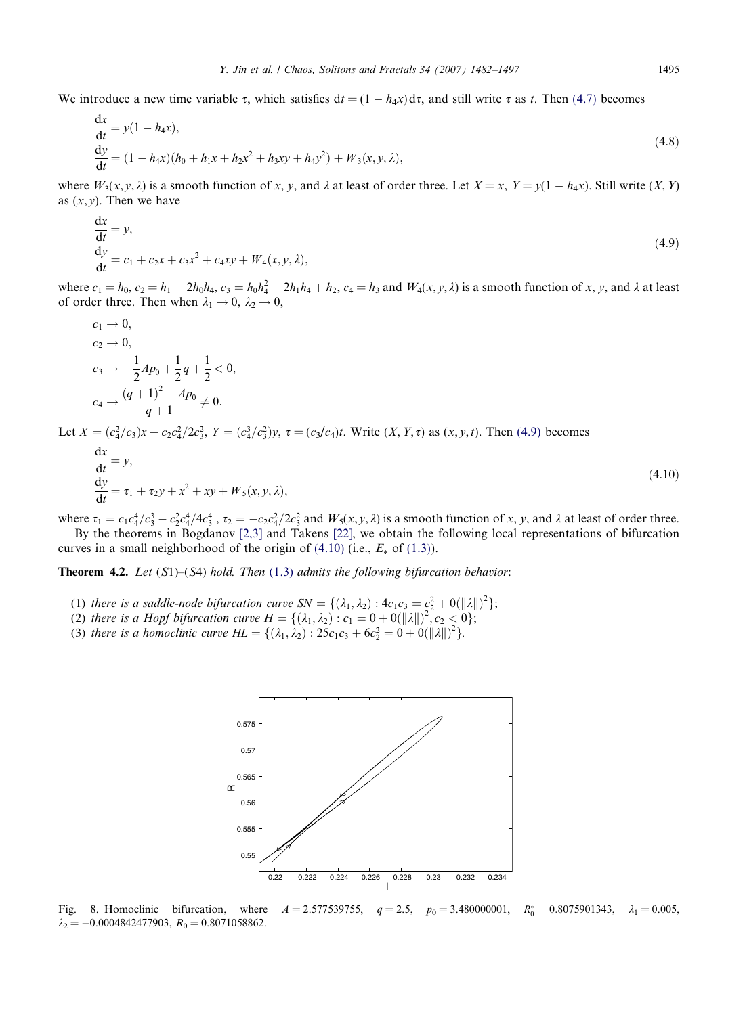<span id="page-13-0"></span>We introduce a new time variable  $\tau$ , which satisfies  $dt = (1 - h_4 x) d\tau$ , and still write  $\tau$  as t. Then [\(4.7\)](#page-12-0) becomes

$$
\begin{aligned} \frac{\mathrm{d}x}{\mathrm{d}t} &= y(1 - h_4 x), \\ \frac{\mathrm{d}y}{\mathrm{d}t} &= (1 - h_4 x)(h_0 + h_1 x + h_2 x^2 + h_3 x y + h_4 y^2) + W_3(x, y, \lambda), \end{aligned} \tag{4.8}
$$

where  $W_3(x, y, \lambda)$  is a smooth function of x, y, and  $\lambda$  at least of order three. Let  $X = x$ ,  $Y = y(1 - h_4x)$ . Still write  $(X, Y)$ as  $(x, y)$ . Then we have

$$
\frac{dx}{dt} = y,\n\frac{dy}{dt} = c_1 + c_2x + c_3x^2 + c_4xy + W_4(x, y, \lambda),
$$
\n(4.9)

where  $c_1 = h_0$ ,  $c_2 = h_1 - 2h_0h_4$ ,  $c_3 = h_0h_4^2 - 2h_1h_4 + h_2$ ,  $c_4 = h_3$  and  $W_4(x, y, \lambda)$  is a smooth function of x, y, and  $\lambda$  at least of order three. Then when  $\lambda_1 \rightarrow 0$ ,  $\lambda_2 \rightarrow 0$ ,

$$
c_1 \to 0,
$$
  
\n
$$
c_2 \to 0,
$$
  
\n
$$
c_3 \to -\frac{1}{2}Ap_0 + \frac{1}{2}q + \frac{1}{2} < 0,
$$
  
\n
$$
c_4 \to \frac{(q+1)^2 - Ap_0}{q+1} \neq 0.
$$
  
\n
$$
(a^2/a)_{21} + a^2(2a^2 - X - (a^2/a^2))_{22} = -(a^2/a) + W_0(\alpha - X) \cdot \text{Then (4.0) becomes}
$$

Let  $X = (c_4^2/c_3)x + c_2c_4^2/2c_3^2$ ,  $Y = (c_4^3/c_3^2)y$ ,  $\tau = (c_3/c_4)t$ . Write  $(X, Y, \tau)$  as  $(x, y, t)$ . Then (4.9) becomes

$$
\frac{dx}{dt} = y,
$$
  
\n
$$
\frac{dy}{dt} = \tau_1 + \tau_2 y + x^2 + xy + W_5(x, y, \lambda),
$$
\n(4.10)

where  $\tau_1 = c_1 c_4^4/c_3^3 - c_2^2 c_4^4/4c_3^4$ ,  $\tau_2 = -c_2 c_4^2/2c_3^2$  and  $W_5(x, y, \lambda)$  is a smooth function of x, y, and  $\lambda$  at least of order three.

By the theorems in Bogdanov [\[2,3\]](#page-14-0) and Takens [\[22\]](#page-15-0), we obtain the following local representations of bifurcation curves in a small neighborhood of the origin of  $(4.10)$  (i.e.,  $E_*$  of  $(1.3)$ ).

**Theorem 4.2.** Let  $(S1)$ – $(S4)$  hold. Then  $(1.3)$  $(1.3)$  $(1.3)$  admits the following bifurcation behavior:

- (1) there is a saddle-node bifurcation curve  $SN = \{(\lambda_1, \lambda_2) : 4c_1c_3 = c_2^2 + \frac{0}{||\lambda||}|^2\};$
- (2) there is a Hopf bifurcation curve  $H = \{(\lambda_1, \lambda_2) : c_1 = 0 + O(||\lambda||)^2, c_2 < 0\};$
- (3) there is a homoclinic curve  $HL = \{(\lambda_1, \lambda_2) : 25c_1c_3 + 6c_2^2 = 0 + 0(||\lambda||)^2\}.$



Fig. 8. Homoclinic bifurcation, where  $A = 2.577539755$ ,  $q = 2.5$ ,  $p_0 = 3.480000001$ ,  $R_0^* = 0.8075901343$ ,  $\lambda_1 = 0.005$ ,  $\lambda_2 = -0.0004842477903, R_0 = 0.8071058862.$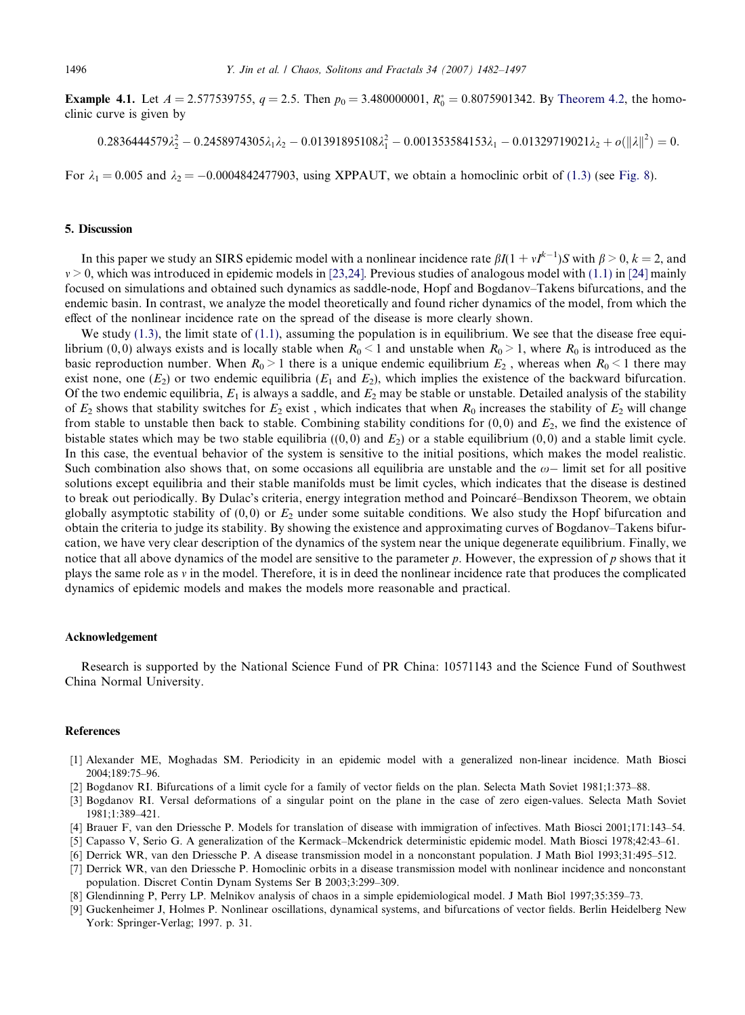<span id="page-14-0"></span>**Example 4.1.** Let  $A = 2.577539755$ ,  $q = 2.5$ . Then  $p_0 = 3.480000001$ ,  $R_0^* = 0.8075901342$ . By [Theorem 4.2](#page-13-0), the homoclinic curve is given by

$$
0.2836444579 \lambda_2^2 - 0.2458974305 \lambda_1 \lambda_2 - 0.01391895108 \lambda_1^2 - 0.001353584153 \lambda_1 - 0.01329719021 \lambda_2 + o(\|\lambda\|^2) = 0.
$$

For  $\lambda_1 = 0.005$  and  $\lambda_2 = -0.0004842477903$ , using XPPAUT, we obtain a homoclinic orbit of [\(1.3\)](#page-2-0) (see [Fig. 8](#page-13-0)).

#### 5. Discussion

In this paper we study an SIRS epidemic model with a nonlinear incidence rate  $\beta I(1 + vI^{k-1})S$  with  $\beta > 0, k = 2$ , and  $v > 0$ , which was introduced in epidemic models in [\[23,24\].](#page-15-0) Previous studies of analogous model with [\(1.1\)](#page-1-0) in [\[24\]](#page-15-0) mainly focused on simulations and obtained such dynamics as saddle-node, Hopf and Bogdanov–Takens bifurcations, and the endemic basin. In contrast, we analyze the model theoretically and found richer dynamics of the model, from which the effect of the nonlinear incidence rate on the spread of the disease is more clearly shown.

We study  $(1.3)$ , the limit state of  $(1.1)$ , assuming the population is in equilibrium. We see that the disease free equilibrium (0, 0) always exists and is locally stable when  $R_0 < 1$  and unstable when  $R_0 > 1$ , where  $R_0$  is introduced as the basic reproduction number. When  $R_0 > 1$  there is a unique endemic equilibrium  $E_2$ , whereas when  $R_0 < 1$  there may exist none, one  $(E_2)$  or two endemic equilibria  $(E_1 \text{ and } E_2)$ , which implies the existence of the backward bifurcation. Of the two endemic equilibria,  $E_1$  is always a saddle, and  $E_2$  may be stable or unstable. Detailed analysis of the stability of  $E_2$  shows that stability switches for  $E_2$  exist, which indicates that when  $R_0$  increases the stability of  $E_2$  will change from stable to unstable then back to stable. Combining stability conditions for  $(0,0)$  and  $E_2$ , we find the existence of bistable states which may be two stable equilibria  $((0,0)$  and  $E_2)$  or a stable equilibrium  $(0,0)$  and a stable limit cycle. In this case, the eventual behavior of the system is sensitive to the initial positions, which makes the model realistic. Such combination also shows that, on some occasions all equilibria are unstable and the  $\omega-$  limit set for all positive solutions except equilibria and their stable manifolds must be limit cycles, which indicates that the disease is destined to break out periodically. By Dulac's criteria, energy integration method and Poincaré–Bendixson Theorem, we obtain globally asymptotic stability of  $(0,0)$  or  $E_2$  under some suitable conditions. We also study the Hopf bifurcation and obtain the criteria to judge its stability. By showing the existence and approximating curves of Bogdanov–Takens bifurcation, we have very clear description of the dynamics of the system near the unique degenerate equilibrium. Finally, we notice that all above dynamics of the model are sensitive to the parameter p. However, the expression of p shows that it plays the same role as  $v$  in the model. Therefore, it is in deed the nonlinear incidence rate that produces the complicated dynamics of epidemic models and makes the models more reasonable and practical.

#### Acknowledgement

Research is supported by the National Science Fund of PR China: 10571143 and the Science Fund of Southwest China Normal University.

#### References

- [1] Alexander ME, Moghadas SM. Periodicity in an epidemic model with a generalized non-linear incidence. Math Biosci 2004;189:75–96.
- [2] Bogdanov RI. Bifurcations of a limit cycle for a family of vector fields on the plan. Selecta Math Soviet 1981;1:373–88.
- [3] Bogdanov RI. Versal deformations of a singular point on the plane in the case of zero eigen-values. Selecta Math Soviet 1981;1:389–421.
- [4] Brauer F, van den Driessche P. Models for translation of disease with immigration of infectives. Math Biosci 2001;171:143–54.
- [5] Capasso V, Serio G. A generalization of the Kermack–Mckendrick deterministic epidemic model. Math Biosci 1978;42:43–61.
- [6] Derrick WR, van den Driessche P. A disease transmission model in a nonconstant population. J Math Biol 1993;31:495–512.
- [7] Derrick WR, van den Driessche P. Homoclinic orbits in a disease transmission model with nonlinear incidence and nonconstant population. Discret Contin Dynam Systems Ser B 2003;3:299–309.
- [8] Glendinning P, Perry LP. Melnikov analysis of chaos in a simple epidemiological model. J Math Biol 1997;35:359–73.
- [9] Guckenheimer J, Holmes P. Nonlinear oscillations, dynamical systems, and bifurcations of vector fields. Berlin Heidelberg New York: Springer-Verlag; 1997. p. 31.